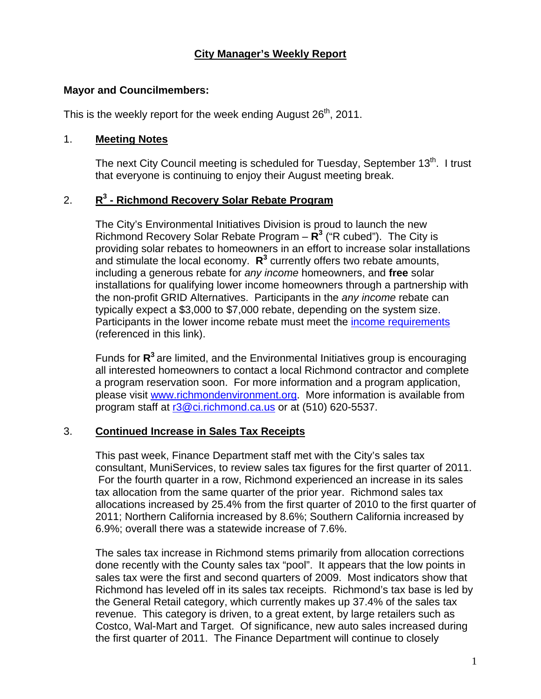## **City Manager's Weekly Report**

#### **Mayor and Councilmembers:**

This is the weekly report for the week ending August  $26<sup>th</sup>$ , 2011.

#### 1. **Meeting Notes**

The next City Council meeting is scheduled for Tuesday, September  $13<sup>th</sup>$ . I trust that everyone is continuing to enjoy their August meeting break.

### 2. **R3 - Richmond Recovery Solar Rebate Program**

The City's Environmental Initiatives Division is proud to launch the new Richmond Recovery Solar Rebate Program –  $\mathbb{R}^3$  ("R cubed"). The City is providing solar rebates to homeowners in an effort to increase solar installations and stimulate the local economy. R<sup>3</sup> currently offers two rebate amounts, including a generous rebate for *any income* homeowners, and **free** solar installations for qualifying lower income homeowners through a partnership with the non-profit GRID Alternatives. Participants in the *any income* rebate can typically expect a \$3,000 to \$7,000 rebate, depending on the system size. Participants in the lower income rebate must meet the [income requirements](http://www.gridalternatives.org/sites/default/files/2011%20HUD%20State%20Income%20Limits.pdf) (referenced in this link).

Funds for **R<sup>3</sup>** are limited, and the Environmental Initiatives group is encouraging all interested homeowners to contact a local Richmond contractor and complete a program reservation soon. For more information and a program application, please visit [www.richmondenvironment.org](http://www.richmondenvironment.org/). More information is available from program staff at [r3@ci.richmond.ca.us](mailto:r3@ci.richmond.ca.us) or at (510) 620-5537.

#### 3. **Continued Increase in Sales Tax Receipts**

This past week, Finance Department staff met with the City's sales tax consultant, MuniServices, to review sales tax figures for the first quarter of 2011. For the fourth quarter in a row, Richmond experienced an increase in its sales tax allocation from the same quarter of the prior year. Richmond sales tax allocations increased by 25.4% from the first quarter of 2010 to the first quarter of 2011; Northern California increased by 8.6%; Southern California increased by 6.9%; overall there was a statewide increase of 7.6%.

The sales tax increase in Richmond stems primarily from allocation corrections done recently with the County sales tax "pool". It appears that the low points in sales tax were the first and second quarters of 2009. Most indicators show that Richmond has leveled off in its sales tax receipts. Richmond's tax base is led by the General Retail category, which currently makes up 37.4% of the sales tax revenue. This category is driven, to a great extent, by large retailers such as Costco, Wal-Mart and Target. Of significance, new auto sales increased during the first quarter of 2011. The Finance Department will continue to closely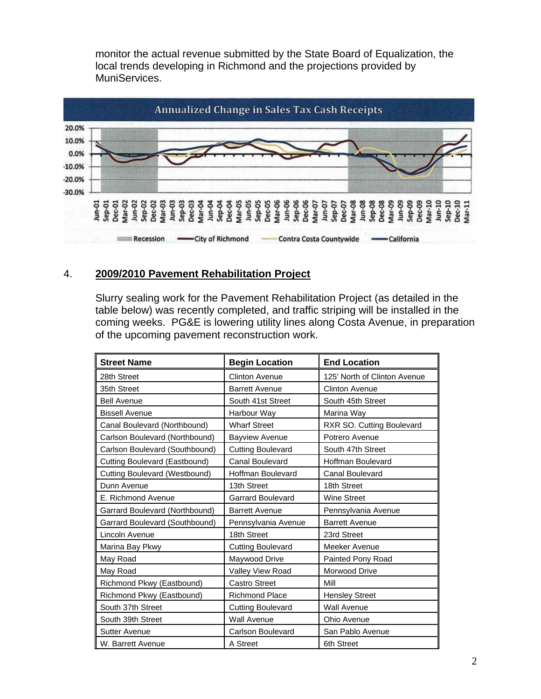monitor the actual revenue submitted by the State Board of Equalization, the local trends developing in Richmond and the projections provided by MuniServices.



#### 4. **2009/2010 Pavement Rehabilitation Project**

Slurry sealing work for the Pavement Rehabilitation Project (as detailed in the table below) was recently completed, and traffic striping will be installed in the coming weeks. PG&E is lowering utility lines along Costa Avenue, in preparation of the upcoming pavement reconstruction work.

| <b>Street Name</b>             | <b>Begin Location</b>    | <b>End Location</b>          |
|--------------------------------|--------------------------|------------------------------|
| 28th Street                    | <b>Clinton Avenue</b>    | 125' North of Clinton Avenue |
| 35th Street                    | <b>Barrett Avenue</b>    | <b>Clinton Avenue</b>        |
| <b>Bell Avenue</b>             | South 41st Street        | South 45th Street            |
| <b>Bissell Avenue</b>          | Harbour Way              | Marina Way                   |
| Canal Boulevard (Northbound)   | <b>Wharf Street</b>      | RXR SO. Cutting Boulevard    |
| Carlson Boulevard (Northbound) | <b>Bayview Avenue</b>    | Potrero Avenue               |
| Carlson Boulevard (Southbound) | <b>Cutting Boulevard</b> | South 47th Street            |
| Cutting Boulevard (Eastbound)  | <b>Canal Boulevard</b>   | <b>Hoffman Boulevard</b>     |
| Cutting Boulevard (Westbound)  | <b>Hoffman Boulevard</b> | <b>Canal Boulevard</b>       |
| Dunn Avenue                    | 13th Street              | 18th Street                  |
| E. Richmond Avenue             | <b>Garrard Boulevard</b> | <b>Wine Street</b>           |
| Garrard Boulevard (Northbound) | <b>Barrett Avenue</b>    | Pennsylvania Avenue          |
| Garrard Boulevard (Southbound) | Pennsylvania Avenue      | <b>Barrett Avenue</b>        |
| Lincoln Avenue                 | 18th Street              | 23rd Street                  |
| Marina Bay Pkwy                | <b>Cutting Boulevard</b> | Meeker Avenue                |
| May Road                       | Maywood Drive            | Painted Pony Road            |
| May Road                       | <b>Valley View Road</b>  | Morwood Drive                |
| Richmond Pkwy (Eastbound)      | <b>Castro Street</b>     | Mill                         |
| Richmond Pkwy (Eastbound)      | <b>Richmond Place</b>    | <b>Hensley Street</b>        |
| South 37th Street              | <b>Cutting Boulevard</b> | <b>Wall Avenue</b>           |
| South 39th Street              | <b>Wall Avenue</b>       | Ohio Avenue                  |
| <b>Sutter Avenue</b>           | Carlson Boulevard        | San Pablo Avenue             |
| W. Barrett Avenue              | A Street                 | 6th Street                   |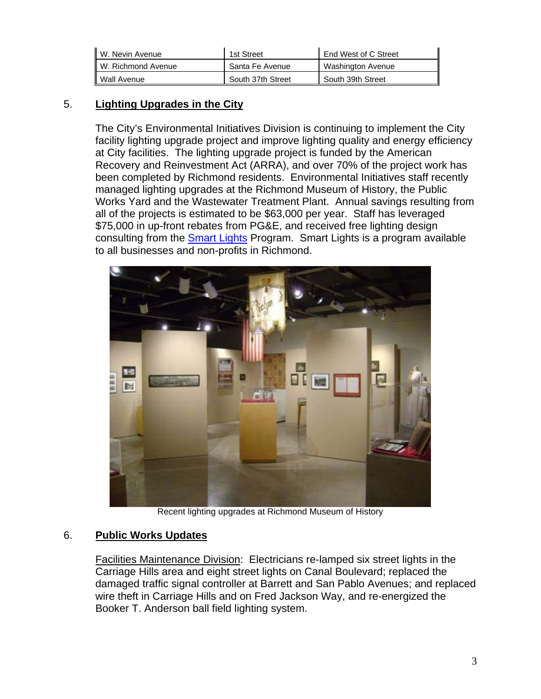| W. Nevin Avenue    | 1st Street        | End West of C Street |
|--------------------|-------------------|----------------------|
| W. Richmond Avenue | Santa Fe Avenue   | Washington Avenue    |
| Wall Avenue        | South 37th Street | South 39th Street    |

# 5. **Lighting Upgrades in the City**

The City's Environmental Initiatives Division is continuing to implement the City facility lighting upgrade project and improve lighting quality and energy efficiency at City facilities. The lighting upgrade project is funded by the American Recovery and Reinvestment Act (ARRA), and over 70% of the project work has been completed by Richmond residents. Environmental Initiatives staff recently managed lighting upgrades at the Richmond Museum of History, the Public Works Yard and the Wastewater Treatment Plant. Annual savings resulting from all of the projects is estimated to be \$63,000 per year. Staff has leveraged \$75,000 in up-front rebates from PG&E, and received free lighting design consulting from the [Smart Lights](http://www.ebenergy.org/smart-lights/) Program. Smart Lights is a program available to all businesses and non-profits in Richmond.



Recent lighting upgrades at Richmond Museum of History

### 6. **Public Works Updates**

Facilities Maintenance Division: Electricians re-lamped six street lights in the Carriage Hills area and eight street lights on Canal Boulevard; replaced the damaged traffic signal controller at Barrett and San Pablo Avenues; and replaced wire theft in Carriage Hills and on Fred Jackson Way, and re-energized the Booker T. Anderson ball field lighting system.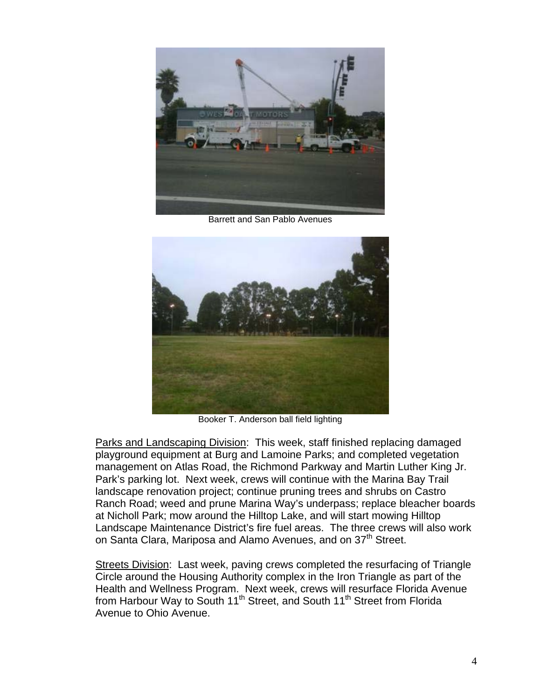

Barrett and San Pablo Avenues



Booker T. Anderson ball field lighting

Parks and Landscaping Division: This week, staff finished replacing damaged playground equipment at Burg and Lamoine Parks; and completed vegetation management on Atlas Road, the Richmond Parkway and Martin Luther King Jr. Park's parking lot. Next week, crews will continue with the Marina Bay Trail landscape renovation project; continue pruning trees and shrubs on Castro Ranch Road; weed and prune Marina Way's underpass; replace bleacher boards at Nicholl Park; mow around the Hilltop Lake, and will start mowing Hilltop Landscape Maintenance District's fire fuel areas. The three crews will also work on Santa Clara, Mariposa and Alamo Avenues, and on 37<sup>th</sup> Street.

Streets Division: Last week, paving crews completed the resurfacing of Triangle Circle around the Housing Authority complex in the Iron Triangle as part of the Health and Wellness Program. Next week, crews will resurface Florida Avenue from Harbour Way to South 11<sup>th</sup> Street, and South 11<sup>th</sup> Street from Florida Avenue to Ohio Avenue.